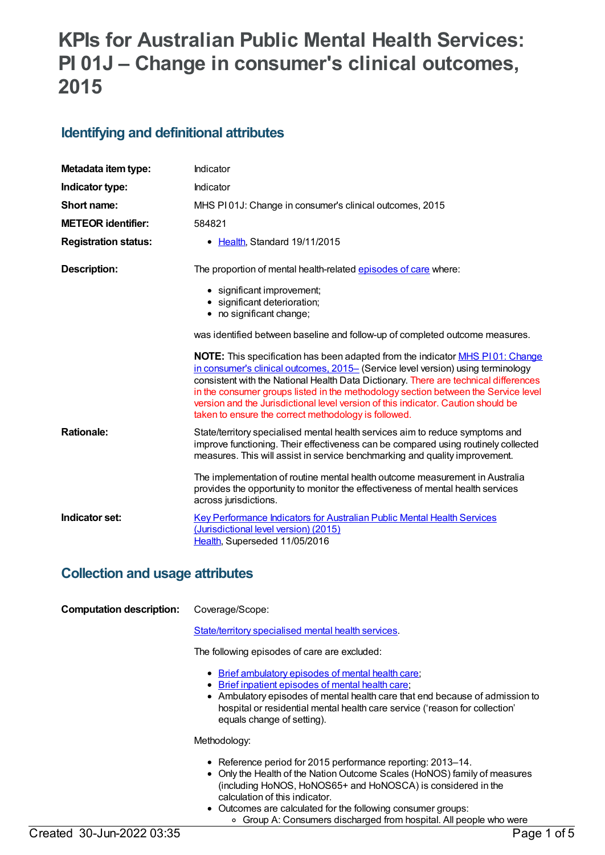# **KPIs for Australian Public Mental Health Services: PI 01J – Change in consumer's clinical outcomes, 2015**

### **Identifying and definitional attributes**

| Metadata item type:         | Indicator                                                                                                                                                                                                                                                                                                                                                                                                                                                                                    |
|-----------------------------|----------------------------------------------------------------------------------------------------------------------------------------------------------------------------------------------------------------------------------------------------------------------------------------------------------------------------------------------------------------------------------------------------------------------------------------------------------------------------------------------|
| Indicator type:             | Indicator                                                                                                                                                                                                                                                                                                                                                                                                                                                                                    |
| Short name:                 | MHS PI01J: Change in consumer's clinical outcomes, 2015                                                                                                                                                                                                                                                                                                                                                                                                                                      |
| <b>METEOR identifier:</b>   | 584821                                                                                                                                                                                                                                                                                                                                                                                                                                                                                       |
| <b>Registration status:</b> | • Health, Standard 19/11/2015                                                                                                                                                                                                                                                                                                                                                                                                                                                                |
| <b>Description:</b>         | The proportion of mental health-related episodes of care where:                                                                                                                                                                                                                                                                                                                                                                                                                              |
|                             | • significant improvement;<br>· significant deterioration;<br>• no significant change;                                                                                                                                                                                                                                                                                                                                                                                                       |
|                             | was identified between baseline and follow-up of completed outcome measures.                                                                                                                                                                                                                                                                                                                                                                                                                 |
|                             | NOTE: This specification has been adapted from the indicator MHS P101: Change<br>in consumer's clinical outcomes, 2015- (Service level version) using terminology<br>consistent with the National Health Data Dictionary. There are technical differences<br>in the consumer groups listed in the methodology section between the Service level<br>version and the Jurisdictional level version of this indicator. Caution should be<br>taken to ensure the correct methodology is followed. |
| <b>Rationale:</b>           | State/territory specialised mental health services aim to reduce symptoms and<br>improve functioning. Their effectiveness can be compared using routinely collected<br>measures. This will assist in service benchmarking and quality improvement.                                                                                                                                                                                                                                           |
|                             | The implementation of routine mental health outcome measurement in Australia<br>provides the opportunity to monitor the effectiveness of mental health services<br>across jurisdictions.                                                                                                                                                                                                                                                                                                     |
| Indicator set:              | <b>Key Performance Indicators for Australian Public Mental Health Services</b><br>(Jurisdictional level version) (2015)<br>Health, Superseded 11/05/2016                                                                                                                                                                                                                                                                                                                                     |

### **Collection and usage attributes**

**Computation description:** Coverage/Scope:

[State/territory](file:///content/268984) specialised mental health services.

The following episodes of care are excluded:

- Brief [ambulatory](file:///content/605545) episodes of mental health care;
- Brief inpatient [episodes](file:///content/605550) of mental health care;
- Ambulatory episodes of mental health care that end because of admission to hospital or residential mental health care service ('reason for collection' equals change of setting).

Methodology:

- Reference period for 2015 performance reporting: 2013–14.
- Only the Health of the Nation Outcome Scales (HoNOS) family of measures (including HoNOS, HoNOS65+ and HoNOSCA) is considered in the calculation of this indicator.
- Outcomes are calculated for the following consumer groups: Group A: Consumers discharged from hospital. All people who were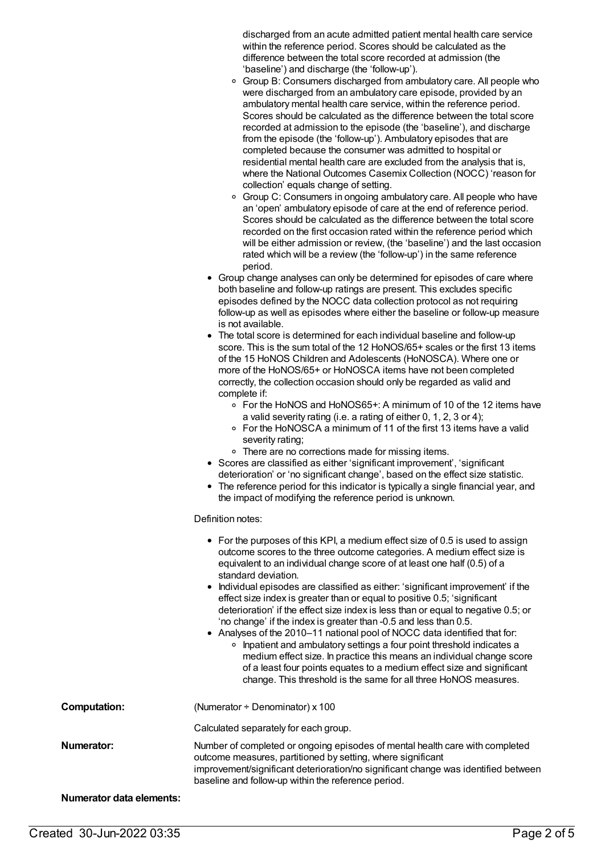discharged from an acute admitted patient mental health care service within the reference period. Scores should be calculated as the difference between the total score recorded at admission (the 'baseline') and discharge (the 'follow-up').

- <sup>o</sup> Group B: Consumers discharged from ambulatory care. All people who were discharged from an ambulatory care episode, provided by an ambulatory mental health care service, within the reference period. Scores should be calculated as the difference between the total score recorded at admission to the episode (the 'baseline'), and discharge from the episode (the 'follow-up'). Ambulatory episodes that are completed because the consumer was admitted to hospital or residential mental health care are excluded from the analysis that is, where the National Outcomes Casemix Collection (NOCC) 'reason for collection' equals change of setting.
- <sup>o</sup> Group C: Consumers in ongoing ambulatory care. All people who have an 'open' ambulatory episode of care at the end of reference period. Scores should be calculated as the difference between the total score recorded on the first occasion rated within the reference period which will be either admission or review, (the 'baseline') and the last occasion rated which will be a review (the 'follow-up') in the same reference period.
- Group change analyses can only be determined for episodes of care where both baseline and follow-up ratings are present. This excludes specific episodes defined by the NOCC data collection protocol as not requiring follow-up as well as episodes where either the baseline or follow-up measure is not available.
- The total score is determined for each individual baseline and follow-up score. This is the sum total of the 12 HoNOS/65+ scales or the first 13 items of the 15 HoNOS Children and Adolescents (HoNOSCA). Where one or more of the HoNOS/65+ or HoNOSCA items have not been completed correctly, the collection occasion should only be regarded as valid and complete if:
	- For the HoNOS and HoNOS65+: A minimum of 10 of the 12 items have a valid severity rating (i.e. a rating of either 0, 1, 2, 3 or 4);
	- For the HoNOSCA a minimum of 11 of the first 13 items have a valid severity rating;
	- There are no corrections made for missing items.
- Scores are classified as either 'significant improvement', 'significant deterioration' or 'no significant change', based on the effect size statistic.
- The reference period for this indicator is typically a single financial year, and the impact of modifying the reference period is unknown.

#### Definition notes:

|                                 | • For the purposes of this KPI, a medium effect size of 0.5 is used to assign<br>outcome scores to the three outcome categories. A medium effect size is<br>equivalent to an individual change score of at least one half (0.5) of a<br>standard deviation.<br>• Individual episodes are classified as either: 'significant improvement' if the<br>effect size index is greater than or equal to positive 0.5; 'significant<br>deterioration' if the effect size index is less than or equal to negative 0.5; or<br>'no change' if the index is greater than -0.5 and less than 0.5.<br>• Analyses of the 2010–11 national pool of NOCC data identified that for:<br>• Inpatient and ambulatory settings a four point threshold indicates a<br>medium effect size. In practice this means an individual change score<br>of a least four points equates to a medium effect size and significant<br>change. This threshold is the same for all three HoNOS measures. |
|---------------------------------|--------------------------------------------------------------------------------------------------------------------------------------------------------------------------------------------------------------------------------------------------------------------------------------------------------------------------------------------------------------------------------------------------------------------------------------------------------------------------------------------------------------------------------------------------------------------------------------------------------------------------------------------------------------------------------------------------------------------------------------------------------------------------------------------------------------------------------------------------------------------------------------------------------------------------------------------------------------------|
| <b>Computation:</b>             | (Numerator $\div$ Denominator) x 100                                                                                                                                                                                                                                                                                                                                                                                                                                                                                                                                                                                                                                                                                                                                                                                                                                                                                                                               |
|                                 | Calculated separately for each group.                                                                                                                                                                                                                                                                                                                                                                                                                                                                                                                                                                                                                                                                                                                                                                                                                                                                                                                              |
| Numerator:                      | Number of completed or ongoing episodes of mental health care with completed<br>outcome measures, partitioned by setting, where significant<br>improvement/significant deterioration/no significant change was identified between<br>baseline and follow-up within the reference period.                                                                                                                                                                                                                                                                                                                                                                                                                                                                                                                                                                                                                                                                           |
| <b>Numerator data elements:</b> |                                                                                                                                                                                                                                                                                                                                                                                                                                                                                                                                                                                                                                                                                                                                                                                                                                                                                                                                                                    |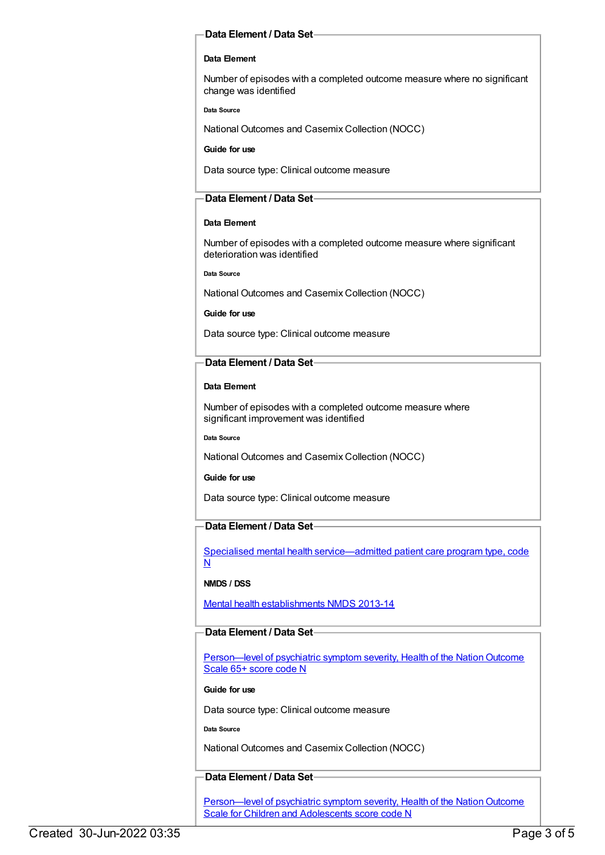#### **Data Element / Data Set**

#### **Data Element**

Number of episodes with a completed outcome measure where no significant change was identified

**Data Source**

National Outcomes and Casemix Collection (NOCC)

**Guide for use**

Data source type: Clinical outcome measure

#### **Data Element / Data Set**

#### **Data Element**

Number of episodes with a completed outcome measure where significant deterioration was identified

**Data Source**

National Outcomes and Casemix Collection (NOCC)

#### **Guide for use**

Data source type: Clinical outcome measure

#### **Data Element / Data Set**

#### **Data Element**

Number of episodes with a completed outcome measure where significant improvement was identified

**Data Source**

National Outcomes and Casemix Collection (NOCC)

**Guide for use**

Data source type: Clinical outcome measure

#### **Data Element / Data Set**

Specialised mental health [service—admitted](https://meteor.aihw.gov.au/content/288889) patient care program type, code N

#### **NMDS / DSS**

Mental health [establishments](https://meteor.aihw.gov.au/content/493652) NMDS 2013-14

#### **Data Element / Data Set**

Person—level of psychiatric symptom severity, Health of the Nation Outcome Scale 65+ score code N

#### **Guide for use**

Data source type: Clinical outcome measure

**Data Source**

National Outcomes and Casemix Collection (NOCC)

#### **Data Element / Data Set**

Person—level of psychiatric symptom severity, Health of the Nation Outcome Scale for Children and Adolescents score code N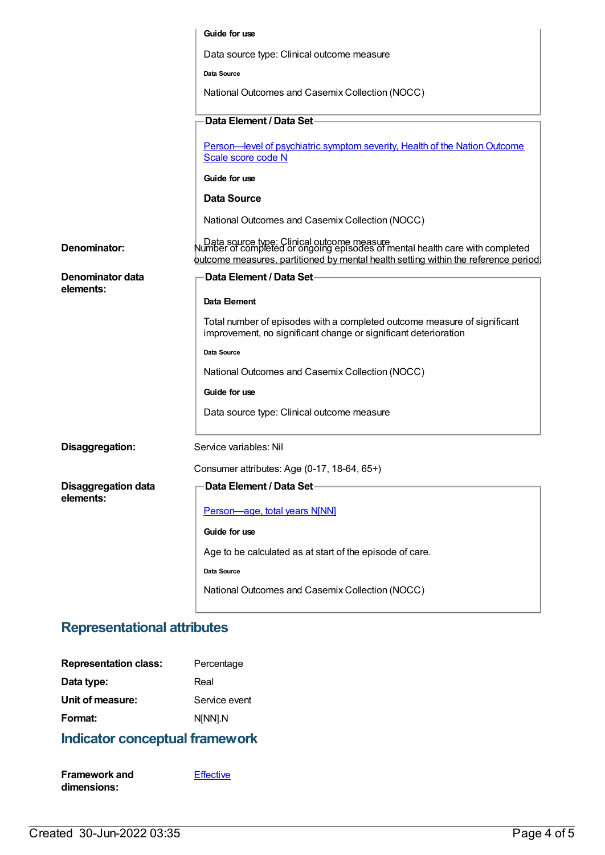|                                         | Guide for use                                                                                                                                                                                                        |
|-----------------------------------------|----------------------------------------------------------------------------------------------------------------------------------------------------------------------------------------------------------------------|
|                                         | Data source type: Clinical outcome measure                                                                                                                                                                           |
|                                         | Data Source                                                                                                                                                                                                          |
|                                         |                                                                                                                                                                                                                      |
|                                         | National Outcomes and Casemix Collection (NOCC)                                                                                                                                                                      |
|                                         | Data Element / Data Set                                                                                                                                                                                              |
|                                         | Person—level of psychiatric symptom severity, Health of the Nation Outcome<br>Scale score code N                                                                                                                     |
|                                         | Guide for use                                                                                                                                                                                                        |
|                                         | <b>Data Source</b>                                                                                                                                                                                                   |
|                                         | National Outcomes and Casemix Collection (NOCC)                                                                                                                                                                      |
| Denominator:                            | │ Data source type: Clinical outcome measure<br>Number of completed or ongoing episodes of mental health care with completed.<br>putcome measures, partitioned by mental health setting within the reference period. |
| Denominator data<br>elements:           | Data Element / Data Set-                                                                                                                                                                                             |
|                                         | Data Element                                                                                                                                                                                                         |
|                                         | Total number of episodes with a completed outcome measure of significant<br>improvement, no significant change or significant deterioration                                                                          |
|                                         | Data Source                                                                                                                                                                                                          |
|                                         | National Outcomes and Casemix Collection (NOCC)                                                                                                                                                                      |
|                                         | Guide for use                                                                                                                                                                                                        |
|                                         | Data source type: Clinical outcome measure                                                                                                                                                                           |
| Disaggregation:                         | Service variables: Nil                                                                                                                                                                                               |
|                                         | Consumer attributes: Age (0-17, 18-64, 65+)                                                                                                                                                                          |
| <b>Disaggregation data</b><br>elements: | Data Element / Data Set-                                                                                                                                                                                             |
|                                         | Person-age, total years N[NN]                                                                                                                                                                                        |
|                                         | Guide for use                                                                                                                                                                                                        |
|                                         | Age to be calculated as at start of the episode of care.                                                                                                                                                             |
|                                         | Data Source                                                                                                                                                                                                          |
|                                         | National Outcomes and Casemix Collection (NOCC)                                                                                                                                                                      |
|                                         |                                                                                                                                                                                                                      |

## **Representational attributes**

| <b>Representation class:</b> | Percentage    |
|------------------------------|---------------|
| Data type:                   | Real          |
| Unit of measure:             | Service event |
| Format:                      | N[NN].N       |
|                              |               |

### **Indicator conceptual framework**

| <b>Framework and</b> | Effective |
|----------------------|-----------|
| dimensions:          |           |